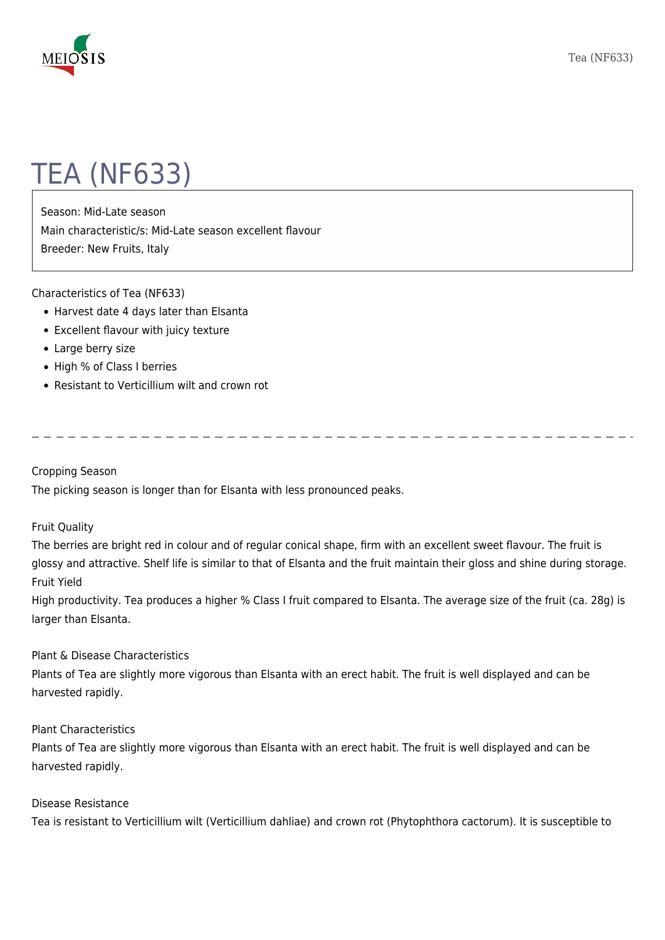

# TEA (NF633)

Season: Mid-Late season Main characteristic/s: Mid-Late season excellent flavour Breeder: New Fruits, Italy

Characteristics of Tea (NF633)

- Harvest date 4 days later than Elsanta
- Excellent flavour with juicy texture
- Large berry size
- High % of Class I berries
- Resistant to Verticillium wilt and crown rot

Cropping Season

The picking season is longer than for Elsanta with less pronounced peaks.

### Fruit Quality

The berries are bright red in colour and of regular conical shape, firm with an excellent sweet flavour. The fruit is glossy and attractive. Shelf life is similar to that of Elsanta and the fruit maintain their gloss and shine during storage. Fruit Yield

High productivity. Tea produces a higher % Class I fruit compared to Elsanta. The average size of the fruit (ca. 28g) is larger than Elsanta.

# Plant & Disease Characteristics

Plants of Tea are slightly more vigorous than Elsanta with an erect habit. The fruit is well displayed and can be harvested rapidly.

### Plant Characteristics

Plants of Tea are slightly more vigorous than Elsanta with an erect habit. The fruit is well displayed and can be harvested rapidly.

### Disease Resistance

Tea is resistant to Verticillium wilt (Verticillium dahliae) and crown rot (Phytophthora cactorum). It is susceptible to